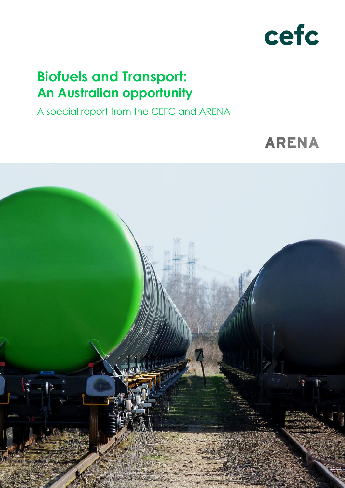

# **Biofuels and Transport: An Australian opportunity**

A special report from the CEFC and ARENA

# **ARENA**

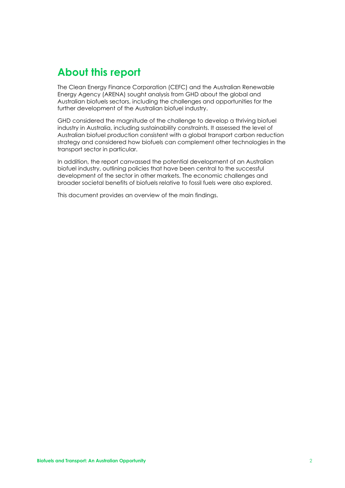# <span id="page-1-0"></span>**About this report**

The Clean Energy Finance Corporation (CEFC) and the Australian Renewable Energy Agency (ARENA) sought analysis from GHD about the global and Australian biofuels sectors, including the challenges and opportunities for the further development of the Australian biofuel industry.

GHD considered the magnitude of the challenge to develop a thriving biofuel industry in Australia, including sustainability constraints. It assessed the level of Australian biofuel production consistent with a global transport carbon reduction strategy and considered how biofuels can complement other technologies in the transport sector in particular.

In addition, the report canvassed the potential development of an Australian biofuel industry, outlining policies that have been central to the successful development of the sector in other markets. The economic challenges and broader societal benefits of biofuels relative to fossil fuels were also explored.

This document provides an overview of the main findings.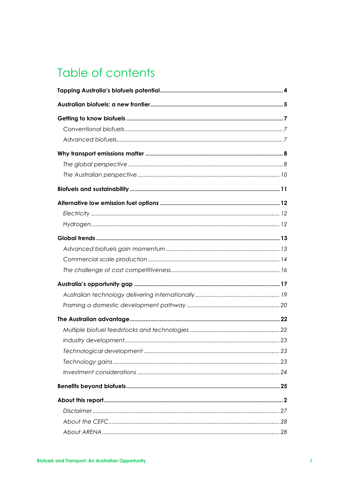# Table of contents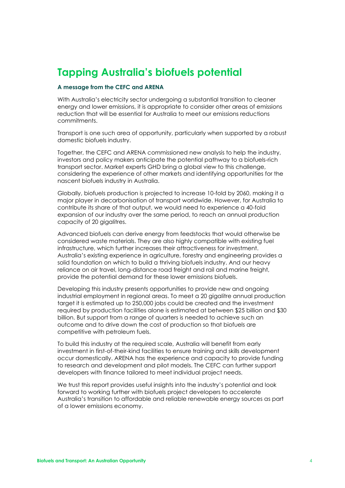# <span id="page-3-0"></span>**Tapping Australia's biofuels potential**

#### **A message from the CEFC and ARENA**

With Australia's electricity sector undergoing a substantial transition to cleaner energy and lower emissions, it is appropriate to consider other areas of emissions reduction that will be essential for Australia to meet our emissions reductions commitments.

Transport is one such area of opportunity, particularly when supported by a robust domestic biofuels industry.

Together, the CEFC and ARENA commissioned new analysis to help the industry, investors and policy makers anticipate the potential pathway to a biofuels-rich transport sector. Market experts GHD bring a global view to this challenge, considering the experience of other markets and identifying opportunities for the nascent biofuels industry in Australia.

Globally, biofuels production is projected to increase 10-fold by 2060, making it a major player in decarbonisation of transport worldwide. However, for Australia to contribute its share of that output, we would need to experience a 40-fold expansion of our industry over the same period, to reach an annual production capacity of 20 gigalitres.

Advanced biofuels can derive energy from feedstocks that would otherwise be considered waste materials. They are also highly compatible with existing fuel infrastructure, which further increases their attractiveness for investment. Australia's existing experience in agriculture, forestry and engineering provides a solid foundation on which to build a thriving biofuels industry. And our heavy reliance on air travel, long-distance road freight and rail and marine freight, provide the potential demand for these lower emissions biofuels.

Developing this industry presents opportunities to provide new and ongoing industrial employment in regional areas. To meet a 20 gigalitre annual production target it is estimated up to 250,000 jobs could be created and the investment required by production facilities alone is estimated at between \$25 billion and \$30 billion. But support from a range of quarters is needed to achieve such an outcome and to drive down the cost of production so that biofuels are competitive with petroleum fuels.

To build this industry at the required scale, Australia will benefit from early investment in first-of-their-kind facilities to ensure training and skills development occur domestically. ARENA has the experience and capacity to provide funding to research and development and pilot models. The CEFC can further support developers with finance tailored to meet individual project needs.

We trust this report provides useful insights into the industry's potential and look forward to working further with biofuels project developers to accelerate Australia's transition to affordable and reliable renewable energy sources as part of a lower emissions economy.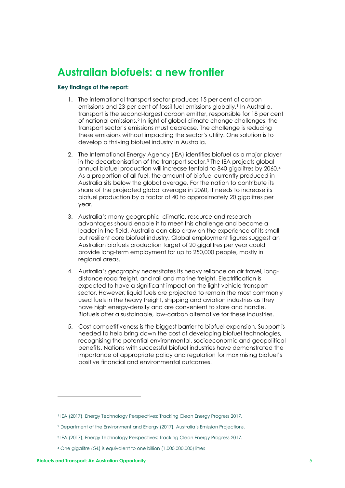## <span id="page-4-0"></span>**Australian biofuels: a new frontier**

#### **Key findings of the report:**

- 1. The international transport sector produces 15 per cent of carbon emissions and 23 per cent of fossil fuel emissions globally.<sup>1</sup> In Australia, transport is the second-largest carbon emitter, responsible for 18 per cent of national emissions.<sup>2</sup> In light of global climate change challenges, the transport sector's emissions must decrease. The challenge is reducing these emissions without impacting the sector's utility. One solution is to develop a thriving biofuel industry in Australia.
- 2. The International Energy Agency (IEA) identifies biofuel as a major player in the decarbonisation of the transport sector.<sup>3</sup> The IEA projects global annual biofuel production will increase tenfold to 840 gigalitres by 2060.<sup>4</sup> As a proportion of all fuel, the amount of biofuel currently produced in Australia sits below the global average. For the nation to contribute its share of the projected global average in 2060, it needs to increase its biofuel production by a factor of 40 to approximately 20 gigalitres per year.
- 3. Australia's many geographic, climatic, resource and research advantages should enable it to meet this challenge and become a leader in the field. Australia can also draw on the experience of its small but resilient core biofuel industry. Global employment figures suggest an Australian biofuels production target of 20 gigalitres per year could provide long-term employment for up to 250,000 people, mostly in regional areas.
- 4. Australia's geography necessitates its heavy reliance on air travel, longdistance road freight, and rail and marine freight. Electrification is expected to have a significant impact on the light vehicle transport sector. However, liquid fuels are projected to remain the most commonly used fuels in the heavy freight, shipping and aviation industries as they have high energy-density and are convenient to store and handle. Biofuels offer a sustainable, low-carbon alternative for these industries.
- 5. Cost competitiveness is the biggest barrier to biofuel expansion. Support is needed to help bring down the cost of developing biofuel technologies, recognising the potential environmental, socioeconomic and geopolitical benefits. Nations with successful biofuel industries have demonstrated the importance of appropriate policy and regulation for maximising biofuel's positive financial and environmental outcomes.

<sup>1</sup> IEA (2017), Energy Technology Perspectives: Tracking Clean Energy Progress 2017.

<sup>2</sup> Department of the Environment and Energy (2017), Australia's Emission Projections.

<sup>3</sup> IEA (2017), Energy Technology Perspectives: Tracking Clean Energy Progress 2017.

<sup>4</sup> One gigalitre (GL) is equivalent to one billion (1,000,000,000) litres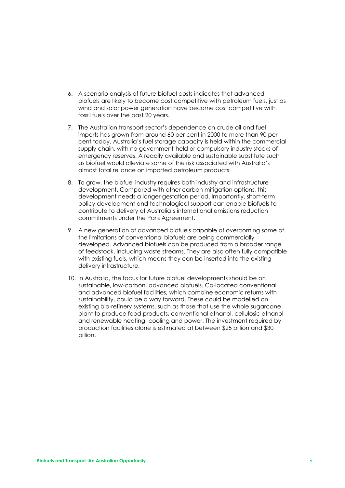- 6. A scenario analysis of future biofuel costs indicates that advanced biofuels are likely to become cost competitive with petroleum fuels, just as wind and solar power generation have become cost competitive with fossil fuels over the past 20 years.
- 7. The Australian transport sector's dependence on crude oil and fuel imports has grown from around 60 per cent in 2000 to more than 90 per cent today. Australia's fuel storage capacity is held within the commercial supply chain, with no government-held or compulsory industry stocks of emergency reserves. A readily available and sustainable substitute such as biofuel would alleviate some of the risk associated with Australia's almost total reliance on imported petroleum products.
- 8. To grow, the biofuel industry requires both industry and infrastructure development. Compared with other carbon mitigation options, this development needs a longer gestation period. Importantly, short-term policy development and technological support can enable biofuels to contribute to delivery of Australia's international emissions reduction commitments under the Paris Agreement.
- 9. A new generation of advanced biofuels capable of overcoming some of the limitations of conventional biofuels are being commercially developed. Advanced biofuels can be produced from a broader range of feedstock, including waste streams. They are also often fully compatible with existing fuels, which means they can be inserted into the existing delivery infrastructure.
- 10. In Australia, the focus for future biofuel developments should be on sustainable, low-carbon, advanced biofuels. Co-located conventional and advanced biofuel facilities, which combine economic returns with sustainability, could be a way forward. These could be modelled on existing bio-refinery systems, such as those that use the whole sugarcane plant to produce food products, conventional ethanol, cellulosic ethanol and renewable heating, cooling and power. The investment required by production facilities alone is estimated at between \$25 billion and \$30 billion.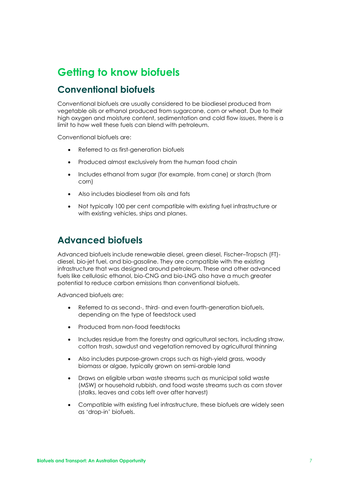# <span id="page-6-0"></span>**Getting to know biofuels**

#### <span id="page-6-1"></span>**Conventional biofuels**

Conventional biofuels are usually considered to be biodiesel produced from vegetable oils or ethanol produced from sugarcane, corn or wheat. Due to their high oxygen and moisture content, sedimentation and cold flow issues, there is a limit to how well these fuels can blend with petroleum.

Conventional biofuels are:

- Referred to as first-generation biofuels
- Produced almost exclusively from the human food chain
- Includes ethanol from sugar (for example, from cane) or starch (from corn)
- Also includes biodiesel from oils and fats
- Not typically 100 per cent compatible with existing fuel infrastructure or with existing vehicles, ships and planes.

#### <span id="page-6-2"></span>**Advanced biofuels**

Advanced biofuels include renewable diesel, green diesel, Fischer–Tropsch (FT) diesel, bio-jet fuel, and bio-gasoline. They are compatible with the existing infrastructure that was designed around petroleum. These and other advanced fuels like cellulosic ethanol, bio-CNG and bio-LNG also have a much greater potential to reduce carbon emissions than conventional biofuels.

Advanced biofuels are:

- Referred to as second-, third- and even fourth-generation biofuels, depending on the type of feedstock used
- Produced from non-food feedstocks
- Includes residue from the forestry and agricultural sectors, including straw, cotton trash, sawdust and vegetation removed by agricultural thinning
- Also includes purpose-grown crops such as high-yield grass, woody biomass or algae, typically grown on semi-arable land
- Draws on eligible urban waste streams such as municipal solid waste (MSW) or household rubbish, and food waste streams such as corn stover (stalks, leaves and cobs left over after harvest)
- Compatible with existing fuel infrastructure, these biofuels are widely seen as 'drop-in' biofuels.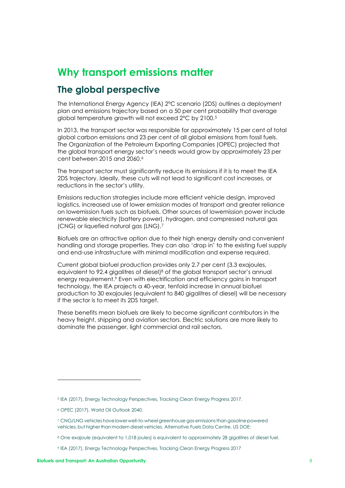# <span id="page-7-0"></span>**Why transport emissions matter**

#### <span id="page-7-1"></span>**The global perspective**

The International Energy Agency (IEA) 2°C scenario (2DS) outlines a deployment plan and emissions trajectory based on a 50 per cent probability that average global temperature growth will not exceed 2°C by 2100.<sup>5</sup>

In 2013, the transport sector was responsible for approximately 15 per cent of total global carbon emissions and 23 per cent of all global emissions from fossil fuels. The Organization of the Petroleum Exporting Companies (OPEC) projected that the global transport energy sector's needs would grow by approximately 23 per cent between 2015 and 2060. 6

The transport sector must significantly reduce its emissions if it is to meet the IEA 2DS trajectory. Ideally, these cuts will not lead to significant cost increases, or reductions in the sector's utility.

Emissions reduction strategies include more efficient vehicle design, improved logistics, increased use of lower emission modes of transport and greater reliance on lowemission fuels such as biofuels. Other sources of lowemission power include renewable electricity (battery power), hydrogen, and compressed natural gas (CNG) or liquefied natural gas (LNG).<sup>7</sup>

Biofuels are an attractive option due to their high energy density and convenient handling and storage properties. They can also 'drop in' to the existing fuel supply and end-use infrastructure with minimal modification and expense required.

Current global biofuel production provides only 2.7 per cent (3.3 exajoules, equivalent to 92.4 gigalitres of diesel) <sup>8</sup> of the global transport sector's annual energy requirement.<sup>9</sup> Even with electrification and efficiency gains in transport technology, the IEA projects a 40-year, tenfold increase in annual biofuel production to 30 exajoules (equivalent to 840 gigalitres of diesel) will be necessary if the sector is to meet its 2DS target.

These benefits mean biofuels are likely to become significant contributors in the heavy freight, shipping and aviation sectors. Electric solutions are more likely to dominate the passenger, light commercial and rail sectors.

<sup>5</sup> IEA (2017), Energy Technology Perspectives, Tracking Clean Energy Progress 2017.

<sup>6</sup> OPEC (2017), World Oil Outlook 2040.

<sup>7</sup> CNG/LNG vehicles havelowerwell-to-wheelgreenhousegasemissionsthangasoline-powered vehicles, but higher than modern diesel vehicles. Alternative Fuels Data Centre, US DOE:

<sup>8</sup> One exajoule (equivalent to 1,018 joules) is equivalent to approximately 28 gigalitres of diesel fuel.

<sup>9</sup> IEA (2017), Energy Technology Perspectives, Tracking Clean Energy Progress 2017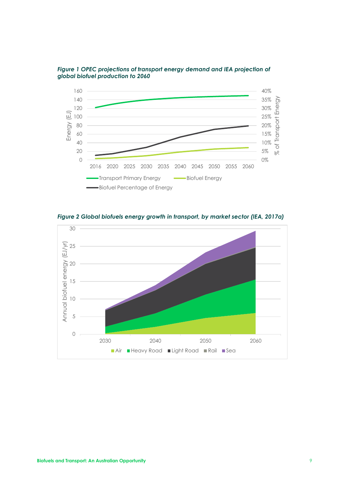



*Figure 2 Global biofuels energy growth in transport, by market sector (IEA, 2017a)* 

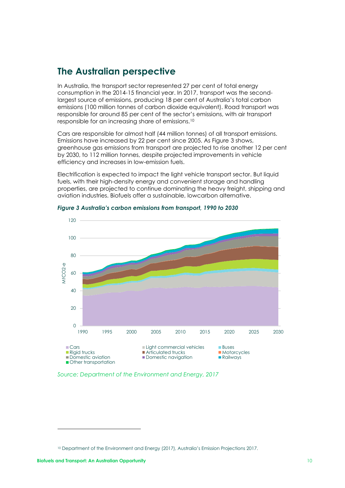#### <span id="page-9-0"></span>**The Australian perspective**

In Australia, the transport sector represented 27 per cent of total energy consumption in the 2014-15 financial year. In 2017, transport was the secondlargest source of emissions, producing 18 per cent of Australia's total carbon emissions (100 million tonnes of carbon dioxide equivalent). Road transport was responsible for around 85 per cent of the sector's emissions, with air transport responsible for an increasing share of emissions.<sup>10</sup>

Cars are responsible for almost half (44 million tonnes) of all transport emissions. Emissions have increased by 22 per cent since 2005. As Figure 3 shows, greenhouse gas emissions from transport are projected to rise another 12 per cent by 2030, to 112 million tonnes, despite projected improvements in vehicle efficiency and increases in low-emission fuels.

Electrification is expected to impact the light vehicle transport sector. But liquid fuels, with their high-density energy and convenient storage and handling properties, are projected to continue dominating the heavy freight, shipping and aviation industries. Biofuels offer a sustainable, lowcarbon alternative.



*Figure 3 Australia's carbon emissions from transport, 1990 to 2030*

*Source: Department of the Environment and Energy, 2017*

<sup>10</sup> Department of the Environment and Energy (2017), Australia's Emission Projections 2017.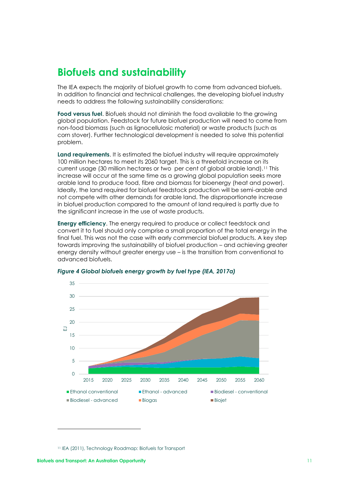## <span id="page-10-0"></span>**Biofuels and sustainability**

The IEA expects the majority of biofuel growth to come from advanced biofuels. In addition to financial and technical challenges, the developing biofuel industry needs to address the following sustainability considerations:

**Food versus fuel**. Biofuels should not diminish the food available to the growing global population. Feedstock for future biofuel production will need to come from non-food biomass (such as lignocellulosic material) or waste products (such as corn stover). Further technological development is needed to solve this potential problem.

**Land requirements**. It is estimated the biofuel industry will require approximately 100 million hectares to meet its 2060 target. This is a threefold increase on its current usage (30 million hectares or two per cent of global arable land).<sup>11</sup> This increase will occur at the same time as a growing global population seeks more arable land to produce food, fibre and biomass for bioenergy (heat and power). Ideally, the land required for biofuel feedstock production will be semi-arable and not compete with other demands for arable land. The disproportionate increase in biofuel production compared to the amount of land required is partly due to the significant increase in the use of waste products.

**Energy efficiency**. The energy required to produce or collect feedstock and convert it to fuel should only comprise a small proportion of the total energy in the final fuel. This was not the case with early commercial biofuel products. A key step towards improving the sustainability of biofuel production – and achieving greater energy density without greater energy use – is the transition from conventional to advanced biofuels.



#### *Figure 4 Global biofuels energy growth by fuel type (IEA, 2017a)*

<sup>11</sup> IEA (2011), Technology Roadmap: Biofuels for Transport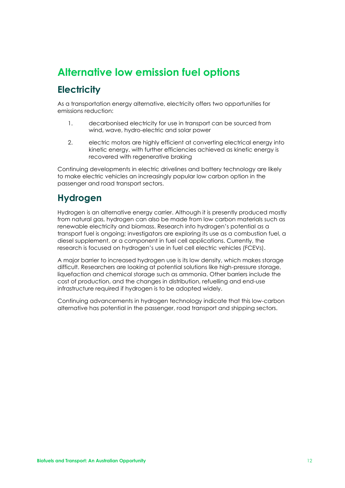# <span id="page-11-1"></span><span id="page-11-0"></span>**Alternative low emission fuel options Electricity**

As a transportation energy alternative, electricity offers two opportunities for emissions reduction:

- 1. decarbonised electricity for use in transport can be sourced from wind, wave, hydro-electric and solar power
- 2. electric motors are highly efficient at converting electrical energy into kinetic energy, with further efficiencies achieved as kinetic energy is recovered with regenerative braking

Continuing developments in electric drivelines and battery technology are likely to make electric vehicles an increasingly popular low carbon option in the passenger and road transport sectors.

#### <span id="page-11-2"></span>**Hydrogen**

Hydrogen is an alternative energy carrier. Although it is presently produced mostly from natural gas, hydrogen can also be made from low carbon materials such as renewable electricity and biomass. Research into hydrogen's potential as a transport fuel is ongoing; investigators are exploring its use as a combustion fuel, a diesel supplement, or a component in fuel cell applications. Currently, the research is focused on hydrogen's use in fuel cell electric vehicles (FCEVs).

A major barrier to increased hydrogen use is its low density, which makes storage difficult. Researchers are looking at potential solutions like high-pressure storage, liquefaction and chemical storage such as ammonia. Other barriers include the cost of production, and the changes in distribution, refuelling and end-use infrastructure required if hydrogen is to be adopted widely.

Continuing advancements in hydrogen technology indicate that this low-carbon alternative has potential in the passenger, road transport and shipping sectors.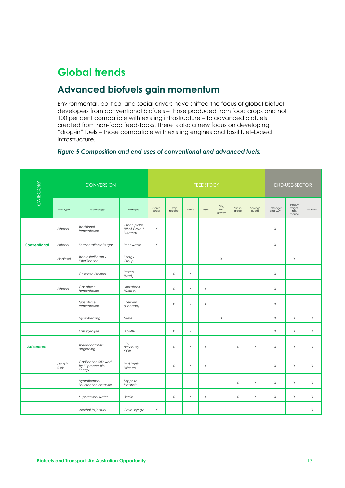# <span id="page-12-0"></span>**Global trends**

### <span id="page-12-1"></span>**Advanced biofuels gain momentum**

Environmental, political and social drivers have shifted the focus of global biofuel developers from conventional biofuels – those produced from food crops and not 100 per cent compatible with existing infrastructure – to advanced biofuels created from non-food feedstocks. There is also a new focus on developing "drop-in" fuels – those compatible with existing engines and fossil fuel–based infrastructure.

#### *Figure 5 Composition and end uses of conventional and advanced fuels:*

| CATEGORY            | <b>CONVERSION</b> |                                                      |                                         | <b>FEEDSTOCK</b> |                 |          |            |                         |                 | <b>END-USE-SECTOR</b> |                      |                                      |             |
|---------------------|-------------------|------------------------------------------------------|-----------------------------------------|------------------|-----------------|----------|------------|-------------------------|-----------------|-----------------------|----------------------|--------------------------------------|-------------|
|                     | Fuel type         | Technology                                           | Example                                 | Starch,<br>sugar | Crop<br>residue | Wood     | <b>MSW</b> | Oils,<br>fat,<br>grease | Micro-<br>algae | Sewage<br>sludge      | Passenger<br>and LCV | Heavy<br>freight,<br>rail,<br>marine | Aviation    |
|                     | Ethanol           | Traditional<br>fermentation                          | Green plains<br>(USA) Gevo /<br>Butamax | $\mathsf X$      |                 |          |            |                         |                 |                       | $\mathsf X$          |                                      |             |
| <b>Conventional</b> | <b>Butanol</b>    | Fermentation of sugar                                | Renewable                               | $\times$         |                 |          |            |                         |                 |                       | $\mathsf X$          |                                      |             |
|                     | Biodiesel         | Transesterifiction /<br>Esterification               | Energy<br>Group                         |                  |                 |          |            | X                       |                 |                       |                      | X                                    |             |
|                     |                   | Cellulosic Ethanol                                   | Raizen<br>(Brazil)                      |                  | $\times$        | $\times$ |            |                         |                 |                       | $\times$             |                                      |             |
|                     | Ethanol           | Gas phase<br>fermentation                            | LanzaTech<br>(Global)                   |                  | Χ               | X        | X          |                         |                 |                       | X                    |                                      |             |
|                     |                   | Gas phase<br>fermentation                            | Enerkem<br>(Canada)                     |                  | $\mathsf X$     | X        | $\times$   |                         |                 |                       | $\mathsf X$          |                                      |             |
|                     |                   | Hydrotreating                                        | Neste                                   |                  |                 |          |            | $\mathsf X$             |                 |                       | $\mathsf X$          | $\mathsf X$                          | $\times$    |
|                     |                   | Fast pyrolysis                                       | <b>BTG-BTL</b>                          |                  | $\chi$          | X        |            |                         |                 |                       | $\mathsf X$          | $\mathsf X$                          | $\times$    |
| <b>Advanced</b>     |                   | Thermocatalytic<br>upgrading                         | IH2<br>previously<br><b>KIOR</b>        |                  | X               | X        | X          |                         | X               | X                     | X                    | Χ                                    | $\mathsf X$ |
|                     | Drop-in<br>fuels  | Gasification followed<br>by FT process Bio<br>Energy | Red Rock,<br>Fulcrum                    |                  | $\times$        | $\times$ | $\times$   |                         |                 |                       | $\times$             | X                                    | $\times$    |
|                     |                   | Hydrothermal<br>liquefaction catalytic               | Sapphire<br>Statkraft                   |                  |                 |          |            |                         | $\mathsf X$     | $\mathsf{X}$          | $\mathsf X$          | $\times$                             | $\times$    |
|                     |                   | Supercritical water                                  | Licella                                 |                  | X               | X        | X          |                         | X               | Χ                     | Χ                    | X                                    | $\mathsf X$ |
|                     |                   | Alcohol to jet fuel                                  | Gevo, Byogy                             | X                |                 |          |            |                         |                 |                       |                      |                                      | X           |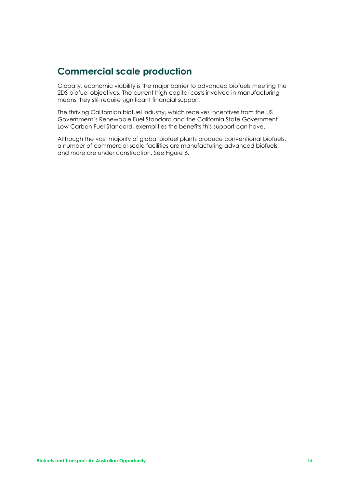### <span id="page-13-0"></span>**Commercial scale production**

Globally, economic viability is the major barrier to advanced biofuels meeting the 2DS biofuel objectives. The current high capital costs involved in manufacturing means they still require significant financial support.

The thriving Californian biofuel industry, which receives incentives from the US Government's Renewable Fuel Standard and the California State Government Low Carbon Fuel Standard, exemplifies the benefits this support can have.

Although the vast majority of global biofuel plants produce conventional biofuels, a number of commercial-scale facilities are manufacturing advanced biofuels, and more are under construction. See Figure 6.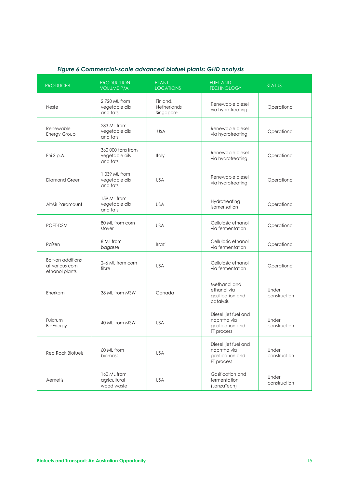<span id="page-14-0"></span>

| <b>PRODUCER</b>                                               | <b>PRODUCTION</b><br><b>VOLUME P/A</b>          | <b>PLANT</b><br><b>LOCATIONS</b>     | <b>FUEL AND</b><br><b>TECHNOLOGY</b>                                  | <b>STATUS</b>         |
|---------------------------------------------------------------|-------------------------------------------------|--------------------------------------|-----------------------------------------------------------------------|-----------------------|
| Neste                                                         | 2,720 ML from<br>vegetable oils<br>and fats     | Finland,<br>Netherlands<br>Singapore | Renewable diesel<br>via hydrotreating                                 | Operational           |
| Renewable<br><b>Energy Group</b>                              | 283 ML from<br>vegetable oils<br>and fats       | <b>USA</b>                           | Renewable diesel<br>via hydrotreating                                 | Operational           |
| Eni S.p.A.                                                    | 360 000 tons from<br>vegetable oils<br>and fats | Italy                                | Renewable diesel<br>via hydrotreating                                 | Operational           |
| Diamond Green                                                 | 1,039 ML from<br>vegetable oils<br>and fats     | <b>USA</b>                           | Renewable diesel<br>via hydrotreating                                 | Operational           |
| AltAir Paramount                                              | 159 ML from<br>vegetable oils<br>and fats       | <b>USA</b>                           | Hydrotreating<br>isomerisation                                        | Operational           |
| POET-DSM                                                      | 80 ML from corn<br>stover                       | <b>USA</b>                           | Cellulosic ethanol<br>via fermentation                                | Operational           |
| Raízen                                                        | 8 ML from<br>bagasse                            | <b>Brazil</b>                        | Cellulosic ethanol<br>via fermentation                                | Operational           |
| <b>Bolt-on additions</b><br>at various corn<br>ethanol plants | 2-6 ML from corn<br>fibre                       | <b>USA</b>                           | Cellulosic ethanol<br>via fermentation                                | Operational           |
| Enerkem                                                       | 38 ML from MSW                                  | Canada                               | Methanol and<br>ethanol via<br>gasification and<br>catalysis          | Under<br>construction |
| Fulcrum<br>BioEnergy                                          | 40 ML from MSW                                  | <b>USA</b>                           | Diesel, jet fuel and<br>naphtha via<br>gasification and<br>FT process | Under<br>construction |
| Red Rock Biofuels                                             | 60 ML from<br>biomass                           | <b>USA</b>                           | Diesel, jet fuel and<br>naphtha via<br>gasification and<br>FT process | Under<br>construction |
| Aemetis                                                       | 160 ML from<br>agricultural<br>wood waste       | <b>USA</b>                           | Gasification and<br>fermentation<br>(LanzaTech)                       | Under<br>construction |

#### *Figure 6 Commercial-scale advanced biofuel plants: GHD analysis*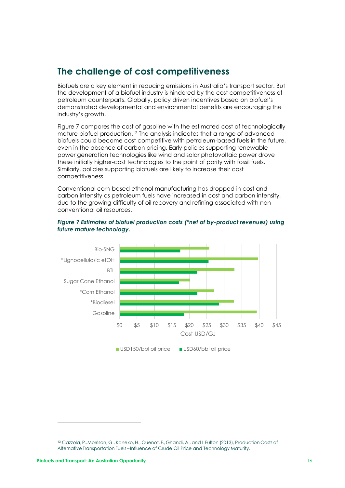### **The challenge of cost competitiveness**

Biofuels are a key element in reducing emissions in Australia's transport sector. But the development of a biofuel industry is hindered by the cost competitiveness of petroleum counterparts. Globally, policy driven incentives based on biofuel's demonstrated developmental and environmental benefits are encouraging the industry's growth.

Figure 7 compares the cost of gasoline with the estimated cost of technologically mature biofuel production.<sup>12</sup> The analysis indicates that a range of advanced biofuels could become cost competitive with petroleum-based fuels in the future, even in the absence of carbon pricing. Early policies supporting renewable power generation technologies like wind and solar photovoltaic power drove these initially higher-cost technologies to the point of parity with fossil fuels. Similarly, policies supporting biofuels are likely to increase their cost competitiveness.

Conventional corn-based ethanol manufacturing has dropped in cost and carbon intensity as petroleum fuels have increased in cost and carbon intensity, due to the growing difficulty of oil recovery and refining associated with nonconventional oil resources.



#### *Figure 7 Estimates of biofuel production costs (\*net of by-product revenues) using future mature technology.*

<sup>&</sup>lt;sup>12</sup> Cazzola, P., Morrison, G., Kaneko, H., Cuenot, F., Ghandi, A., and L Fulton (2013), Production Costs of Alternative Transportation Fuels – Influence of Crude Oil Price and Technology Maturity.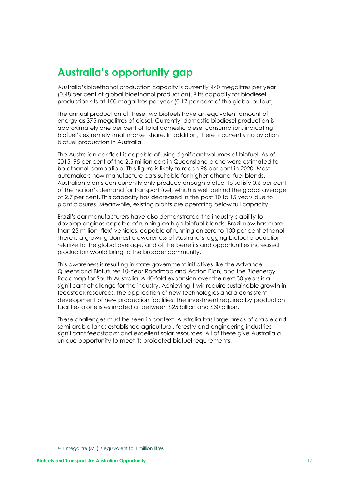# <span id="page-16-0"></span>**Australia's opportunity gap**

Australia's bioethanol production capacity is currently 440 megalitres per year (0.48 per cent of global bioethanol production).<sup>13</sup> Its capacity for biodiesel production sits at 100 megalitres per year (0.17 per cent of the global output).

The annual production of these two biofuels have an equivalent amount of energy as 375 megalitres of diesel. Currently, domestic biodiesel production is approximately one per cent of total domestic diesel consumption, indicating biofuel's extremely small market share. In addition, there is currently no aviation biofuel production in Australia.

The Australian car fleet is capable of using significant volumes of biofuel. As of 2015, 95 per cent of the 2.5 million cars in Queensland alone were estimated to be ethanol-compatible. This figure is likely to reach 98 per cent in 2020. Most automakers now manufacture cars suitable for higher-ethanol fuel blends. Australian plants can currently only produce enough biofuel to satisfy 0.6 per cent of the nation's demand for transport fuel, which is well behind the global average of 2.7 per cent. This capacity has decreased in the past 10 to 15 years due to plant closures. Meanwhile, existing plants are operating below full capacity.

Brazil's car manufacturers have also demonstrated the industry's ability to develop engines capable of running on high-biofuel blends. Brazil now has more than 25 million 'flex' vehicles, capable of running on zero to 100 per cent ethanol. There is a growing domestic awareness of Australia's lagging biofuel production relative to the global average, and of the benefits and opportunities increased production would bring to the broader community.

This awareness is resulting in state government initiatives like the Advance Queensland Biofutures 10-Year Roadmap and Action Plan, and the Bioenergy Roadmap for South Australia. A 40-fold expansion over the next 30 years is a significant challenge for the industry. Achieving it will require sustainable growth in feedstock resources, the application of new technologies and a consistent development of new production facilities. The investment required by production facilities alone is estimated at between \$25 billion and \$30 billion.

These challenges must be seen in context. Australia has large areas of arable and semi-arable land; established agricultural, forestry and engineering industries; significant feedstocks; and excellent solar resources. All of these give Australia a unique opportunity to meet its projected biofuel requirements.

<sup>&</sup>lt;sup>13</sup> 1 megalitre (ML) is equivalent to 1 million litres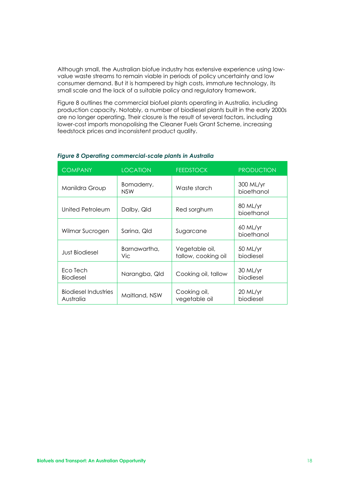Although small, the Australian biofue industry has extensive experience using lowvalue waste streams to remain viable in periods of policy uncertainty and low consumer demand. But it is hampered by high costs, immature technology, its small scale and the lack of a suitable policy and regulatory framework.

Figure 8 outlines the commercial biofuel plants operating in Australia, including production capacity. Notably, a number of biodiesel plants built in the early 2000s are no longer operating. Their closure is the result of several factors, including lower-cost imports monopolising the Cleaner Fuels Grant Scheme, increasing feedstock prices and inconsistent product quality.

| <b>COMPANY</b>                           | <b>LOCATION</b>          | <b>FEEDSTOCK</b>                      | <b>PRODUCTION</b>       |
|------------------------------------------|--------------------------|---------------------------------------|-------------------------|
| Manildra Group                           | Bomaderry,<br><b>NSW</b> | Waste starch                          | 300 ML/yr<br>bioethanol |
| United Petroleum                         | Dalby, Qld               | Red sorghum                           | 80 ML/yr<br>bioethanol  |
| Wilmar Sucrogen                          | Sarina, Qld              | Sugarcane                             | 60 ML/yr<br>bioethanol  |
| <b>Just Biodiesel</b>                    | Barnawartha,<br>Vic.     | Vegetable oil,<br>tallow, cooking oil | 50 ML/yr<br>biodiesel   |
| Eco Tech<br><b>Biodiesel</b>             | Narangba, Qld            | Cooking oil, tallow                   | 30 ML/yr<br>biodiesel   |
| <b>Biodiesel Industries</b><br>Australia | Maitland, NSW            | Cooking oil,<br>vegetable oil         | 20 ML/yr<br>biodiesel   |

#### *Figure 8 Operating commercial-scale plants in Australia*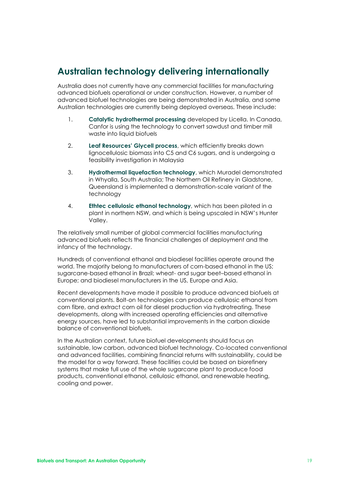### <span id="page-18-0"></span>**Australian technology delivering internationally**

Australia does not currently have any commercial facilities for manufacturing advanced biofuels operational or under construction. However, a number of advanced biofuel technologies are being demonstrated in Australia, and some Australian technologies are currently being deployed overseas. These include:

- 1. **Catalytic hydrothermal processing** developed by Licella. In Canada, Canfor is using the technology to convert sawdust and timber mill waste into liquid biofuels
- 2. **Leaf Resources' Glycell process**, which efficiently breaks down lignocellulosic biomass into C5 and C6 sugars, and is undergoing a feasibility investigation in Malaysia
- 3. **Hydrothermal liquefaction technology**, which Muradel demonstrated in Whyalla, South Australia; The Northern Oil Refinery in Gladstone, Queensland is implemented a demonstration-scale variant of the technology
- 4. **Ethtec cellulosic ethanol technology**, which has been piloted in a plant in northern NSW, and which is being upscaled in NSW's Hunter Valley.

The relatively small number of global commercial facilities manufacturing advanced biofuels reflects the financial challenges of deployment and the infancy of the technology.

Hundreds of conventional ethanol and biodiesel facilities operate around the world. The majority belong to manufacturers of corn-based ethanol in the US; sugarcane-based ethanol in Brazil; wheat- and sugar beet–based ethanol in Europe; and biodiesel manufacturers in the US, Europe and Asia.

Recent developments have made it possible to produce advanced biofuels at conventional plants. Bolt-on technologies can produce cellulosic ethanol from corn fibre, and extract corn oil for diesel production via hydrotreating. These developments, along with increased operating efficiencies and alternative energy sources, have led to substantial improvements in the carbon dioxide balance of conventional biofuels.

In the Australian context, future biofuel developments should focus on sustainable, low carbon, advanced biofuel technology. Co-located conventional and advanced facilities, combining financial returns with sustainability, could be the model for a way forward. These facilities could be based on biorefinery systems that make full use of the whole sugarcane plant to produce food products, conventional ethanol, cellulosic ethanol, and renewable heating, cooling and power.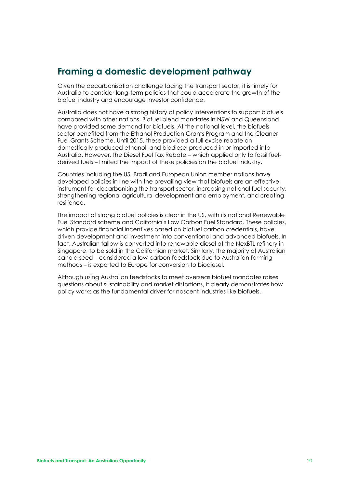#### <span id="page-19-0"></span>**Framing a domestic development pathway**

Given the decarbonisation challenge facing the transport sector, it is timely for Australia to consider long-term policies that could accelerate the growth of the biofuel industry and encourage investor confidence.

Australia does not have a strong history of policy interventions to support biofuels compared with other nations. Biofuel blend mandates in NSW and Queensland have provided some demand for biofuels. At the national level, the biofuels sector benefited from the Ethanol Production Grants Program and the Cleaner Fuel Grants Scheme. Until 2015, these provided a full excise rebate on domestically produced ethanol, and biodiesel produced in or imported into Australia. However, the Diesel Fuel Tax Rebate – which applied only to fossil fuelderived fuels – limited the impact of these policies on the biofuel industry.

Countries including the US, Brazil and European Union member nations have developed policies in line with the prevailing view that biofuels are an effective instrument for decarbonising the transport sector, increasing national fuel security, strengthening regional agricultural development and employment, and creating resilience.

The impact of strong biofuel policies is clear in the US, with its national Renewable Fuel Standard scheme and California's Low Carbon Fuel Standard. These policies, which provide financial incentives based on biofuel carbon credentials, have driven development and investment into conventional and advanced biofuels. In fact, Australian tallow is converted into renewable diesel at the NexBTL refinery in Singapore, to be sold in the Californian market. Similarly, the majority of Australian canola seed – considered a low-carbon feedstock due to Australian farming methods – is exported to Europe for conversion to biodiesel.

Although using Australian feedstocks to meet overseas biofuel mandates raises questions about sustainability and market distortions, it clearly demonstrates how policy works as the fundamental driver for nascent industries like biofuels.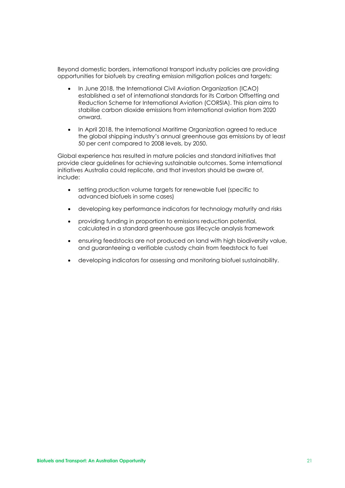Beyond domestic borders, international transport industry policies are providing opportunities for biofuels by creating emission mitigation polices and targets:

- In June 2018, the International Civil Aviation Organization (ICAO) established a set of international standards for its Carbon Offsetting and Reduction Scheme for International Aviation (CORSIA). This plan aims to stabilise carbon dioxide emissions from international aviation from 2020 onward.
- In April 2018, the International Maritime Organization agreed to reduce the global shipping industry's annual greenhouse gas emissions by at least 50 per cent compared to 2008 levels, by 2050.

Global experience has resulted in mature policies and standard initiatives that provide clear guidelines for achieving sustainable outcomes. Some international initiatives Australia could replicate, and that investors should be aware of, include:

- setting production volume targets for renewable fuel (specific to advanced biofuels in some cases)
- developing key performance indicators for technology maturity and risks
- providing funding in proportion to emissions reduction potential, calculated in a standard greenhouse gas lifecycle analysis framework
- ensuring feedstocks are not produced on land with high biodiversity value, and guaranteeing a verifiable custody chain from feedstock to fuel
- developing indicators for assessing and monitoring biofuel sustainability.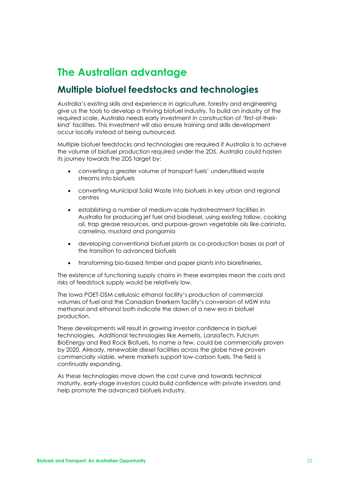# <span id="page-21-0"></span>**The Australian advantage**

#### <span id="page-21-1"></span>**Multiple biofuel feedstocks and technologies**

Australia's existing skills and experience in agriculture, forestry and engineering give us the tools to develop a thriving biofuel industry. To build an industry at the required scale, Australia needs early investment in construction of 'first-of-theirkind' facilities. This investment will also ensure training and skills development occur locally instead of being outsourced.

Multiple biofuel feedstocks and technologies are required if Australia is to achieve the volume of biofuel production required under the 2DS. Australia could hasten its journey towards the 2DS target by:

- converting a greater volume of transport fuels' underutilised waste streams into biofuels
- converting Municipal Solid Waste into biofuels in key urban and regional centres
- establishing a number of medium-scale hydrotreatment facilities in Australia for producing jet fuel and biodiesel, using existing tallow, cooking oil, trap grease resources, and purpose-grown vegetable oils like carinata, camelina, mustard and pongamia
- developing conventional biofuel plants as co-production bases as part of the transition to advanced biofuels
- transforming bio-based timber and paper plants into biorefineries.

The existence of functioning supply chains in these examples mean the costs and risks of feedstock supply would be relatively low.

The Iowa POET-DSM cellulosic ethanol facility's production of commercial volumes of fuel and the Canadian Enerkem facility's conversion of MSW into methanol and ethanol both indicate the dawn of a new era in biofuel production.

These developments will result in growing investor confidence in biofuel technologies. Additional technologies like Aemetis, LanzaTech, Fulcrum BioEnergy and Red Rock Biofuels, to name a few, could be commercially proven by 2020. Already, renewable diesel facilities across the globe have proven commercially viable, where markets support low-carbon fuels. The field is continually expanding.

As these technologies move down the cost curve and towards technical maturity, early-stage investors could build confidence with private investors and help promote the advanced biofuels industry.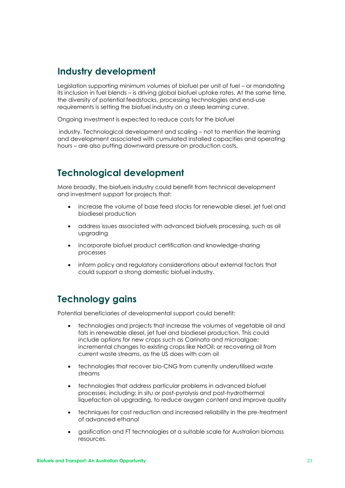#### <span id="page-22-0"></span>**Industry development**

Legislation supporting minimum volumes of biofuel per unit of fuel – or mandating its inclusion in fuel blends – is driving global biofuel uptake rates. At the same time, the diversity of potential feedstocks, processing technologies and end-use requirements is setting the biofuel industry on a steep learning curve.

Ongoing investment is expected to reduce costs for the biofuel

industry. Technological development and scaling – not to mention the learning and development associated with cumulated installed capacities and operating hours – are also putting downward pressure on production costs.

#### <span id="page-22-1"></span>**Technological development**

More broadly, the biofuels industry could benefit from technical development and investment support for projects that:

- increase the volume of base feed stocks for renewable diesel, jet fuel and biodiesel production
- address issues associated with advanced biofuels processing, such as oil upgrading
- incorporate biofuel product certification and knowledge-sharing processes
- inform policy and regulatory considerations about external factors that could support a strong domestic biofuel industry.

### <span id="page-22-2"></span>**Technology gains**

Potential beneficiaries of developmental support could benefit:

- technologies and projects that increase the volumes of vegetable oil and fats in renewable diesel, jet fuel and biodiesel production. This could include options for new crops such as Carinata and microalgae; incremental changes to existing crops like NxtOil; or recovering oil from current waste streams, as the US does with corn oil
- technologies that recover bio-CNG from currently underutilised waste streams
- technologies that address particular problems in advanced biofuel processes, including: in situ or post-pyrolysis and post-hydrothermal liquefaction oil upgrading, to reduce oxygen content and improve quality
- techniques for cost reduction and increased reliability in the pre-treatment of advanced ethanol
- gasification and FT technologies at a suitable scale for Australian biomass resources.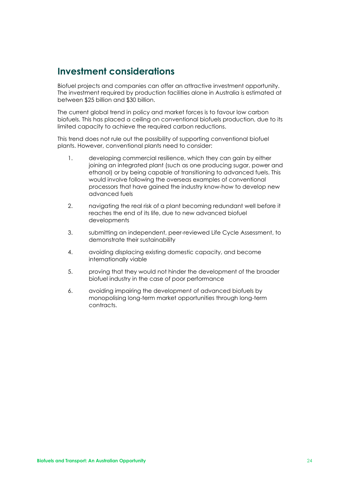### <span id="page-23-0"></span>**Investment considerations**

Biofuel projects and companies can offer an attractive investment opportunity. The investment required by production facilities alone in Australia is estimated at between \$25 billion and \$30 billion.

The current global trend in policy and market forces is to favour low carbon biofuels. This has placed a ceiling on conventional biofuels production, due to its limited capacity to achieve the required carbon reductions.

This trend does not rule out the possibility of supporting conventional biofuel plants. However, conventional plants need to consider:

- 1. developing commercial resilience, which they can gain by either joining an integrated plant (such as one producing sugar, power and ethanol) or by being capable of transitioning to advanced fuels. This would involve following the overseas examples of conventional processors that have gained the industry know-how to develop new advanced fuels
- 2. navigating the real risk of a plant becoming redundant well before it reaches the end of its life, due to new advanced biofuel developments
- 3. submitting an independent, peer-reviewed Life Cycle Assessment, to demonstrate their sustainability
- 4. avoiding displacing existing domestic capacity, and become internationally viable
- 5. proving that they would not hinder the development of the broader biofuel industry in the case of poor performance
- 6. avoiding impairing the development of advanced biofuels by monopolising long-term market opportunities through long-term contracts.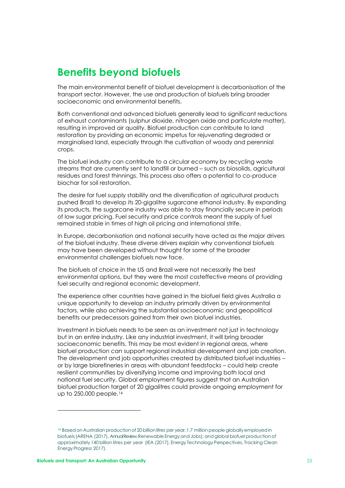## <span id="page-24-0"></span>**Benefits beyond biofuels**

The main environmental benefit of biofuel development is decarbonisation of the transport sector. However, the use and production of biofuels bring broader socioeconomic and environmental benefits.

Both conventional and advanced biofuels generally lead to significant reductions of exhaust contaminants (sulphur dioxide, nitrogen oxide and particulate matter), resulting in improved air quality. Biofuel production can contribute to land restoration by providing an economic impetus for rejuvenating degraded or marginalised land, especially through the cultivation of woody and perennial crops.

The biofuel industry can contribute to a circular economy by recycling waste streams that are currently sent to landfill or burned – such as biosolids, agricultural residues and forest thinnings. This process also offers a potential to co-produce biochar for soil restoration.

The desire for fuel supply stability and the diversification of agricultural products pushed Brazil to develop its 20-gigalitre sugarcane ethanol industry. By expanding its products, the sugarcane industry was able to stay financially secure in periods of low sugar pricing. Fuel security and price controls meant the supply of fuel remained stable in times of high oil pricing and international strife.

In Europe, decarbonisation and national security have acted as the major drivers of the biofuel industry. These diverse drivers explain why conventional biofuels may have been developed without thought for some of the broader environmental challenges biofuels now face.

The biofuels of choice in the US and Brazil were not necessarily the best environmental options, but they were the most costeffective means of providing fuel security and regional economic development.

The experience other countries have gained in the biofuel field gives Australia a unique opportunity to develop an industry primarily driven by environmental factors, while also achieving the substantial socioeconomic and geopolitical benefits our predecessors gained from their own biofuel industries.

Investment in biofuels needs to be seen as an investment not just in technology but in an entire industry. Like any industrial investment, it will bring broader socioeconomic benefits. This may be most evident in regional areas, where biofuel production can support regional industrial development and job creation. The development and job opportunities created by distributed biofuel industries – or by large biorefineries in areas with abundant feedstocks – could help create resilient communities by diversifying income and improving both local and national fuel security. Global employment figures suggest that an Australian biofuel production target of 20 gigalitres could provide ongoing employment for up to 250,000 people.<sup>14</sup>

<sup>14</sup> Based on Australian production of 20 billion litres per year; 1.7 million people globally employed in biofuels (ARENA (2017), Annual Review, Renewable Energy and Jobs); and alobal biofuel production of approximately 140 billion litres per year (IEA (2017), Energy Technology Perspectives, Tracking Clean Energy Progress 2017).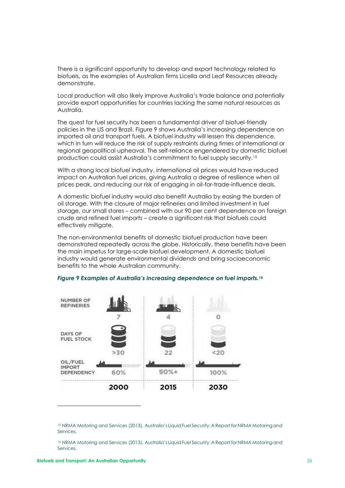There is a significant opportunity to develop and export technology related to biofuels, as the examples of Australian firms Licella and Leaf Resources already demonstrate.

Local production will also likely improve Australia's trade balance and potentially provide export opportunities for countries lacking the same natural resources as Australia.

The quest for fuel security has been a fundamental driver of biofuel-friendly policies in the US and Brazil. Figure 9 shows Australia's increasing dependence on imported oil and transport fuels. A biofuel industry will lessen this dependence, which in turn will reduce the risk of supply restraints during times of international or regional geopolitical upheaval. The self-reliance engendered by domestic biofuel production could assist Australia's commitment to fuel supply security.<sup>15</sup>

With a strong local biofuel industry, international oil prices would have reduced impact on Australian fuel prices, giving Australia a degree of resilience when oil prices peak, and reducing our risk of engaging in oil-for-trade-influence deals.

A domestic biofuel industry would also benefit Australia by easing the burden of oil storage. With the closure of major refineries and limited investment in fuel storage, our small stores – combined with our 90 per cent dependence on foreign crude and refined fuel imports – create a significant risk that biofuels could effectively mitigate.

The non-environmental benefits of domestic biofuel production have been demonstrated repeatedly across the globe. Historically, these benefits have been the main impetus for large-scale biofuel development. A domestic biofuel industry would generate environmental dividends and bring socioeconomic benefits to the whole Australian community.



#### *Figure 9 Examples of Australia's increasing dependence on fuel imports.<sup>16</sup>*

<sup>15</sup> NRMA Motoring and Services (2013), Australia's Liquid Fuel Security: A Report for NRMA Motoring and Services.

<sup>&</sup>lt;sup>16</sup> NRMA Motoring and Services (2013), Australia's Liquid Fuel Security: A Report for NRMA Motoring and Services.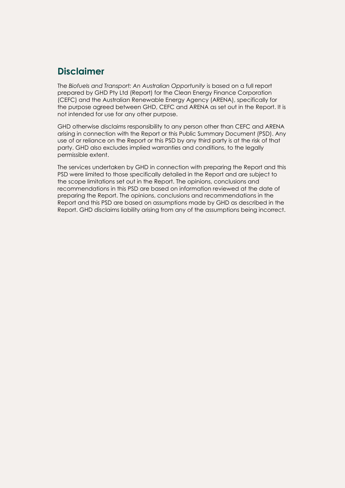### <span id="page-26-0"></span>**Disclaimer**

The *Biofuels and Transport: An Australian Opportunity* is based on a full report prepared by GHD Pty Ltd (Report) for the Clean Energy Finance Corporation (CEFC) and the Australian Renewable Energy Agency (ARENA), specifically for the purpose agreed between GHD, CEFC and ARENA as set out in the Report. It is not intended for use for any other purpose.

GHD otherwise disclaims responsibility to any person other than CEFC and ARENA arising in connection with the Report or this Public Summary Document (PSD). Any use of or reliance on the Report or this PSD by any third party is at the risk of that party. GHD also excludes implied warranties and conditions, to the legally permissible extent.

The services undertaken by GHD in connection with preparing the Report and this PSD were limited to those specifically detailed in the Report and are subject to the scope limitations set out in the Report. The opinions, conclusions and recommendations in this PSD are based on information reviewed at the date of preparing the Report. The opinions, conclusions and recommendations in the Report and this PSD are based on assumptions made by GHD as described in the Report. GHD disclaims liability arising from any of the assumptions being incorrect.